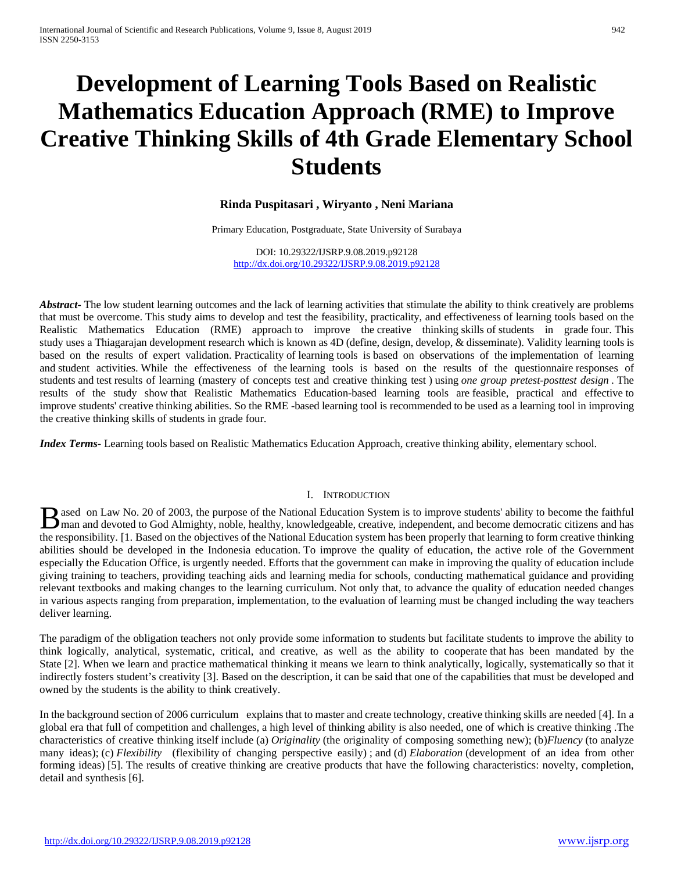# **Development of Learning Tools Based on Realistic Mathematics Education Approach (RME) to Improve Creative Thinking Skills of 4th Grade Elementary School Students**

## **Rinda Puspitasari , Wiryanto , Neni Mariana**

Primary Education, Postgraduate, State University of Surabaya

DOI: 10.29322/IJSRP.9.08.2019.p92128 <http://dx.doi.org/10.29322/IJSRP.9.08.2019.p92128>

*Abstract* – The low student learning outcomes and the lack of learning activities that stimulate the ability to think creatively are problems that must be overcome. This study aims to develop and test the feasibility, practicality, and effectiveness of learning tools based on the Realistic Mathematics Education (RME) approach to improve the creative thinking skills of students in grade four. This study uses a Thiagarajan development research which is known as 4D (define, design, develop, & disseminate). Validity learning tools is based on the results of expert validation. Practicality of learning tools is based on observations of the implementation of learning and student activities. While the effectiveness of the learning tools is based on the results of the questionnaire responses of students and test results of learning (mastery of concepts test and creative thinking test ) using *one group pretest-posttest design .* The results of the study show that Realistic Mathematics Education-based learning tools are feasible, practical and effective to improve students' creative thinking abilities. So the RME -based learning tool is recommended to be used as a learning tool in improving the creative thinking skills of students in grade four.

*Index Terms*- Learning tools based on Realistic Mathematics Education Approach, creative thinking ability, elementary school.

#### I. INTRODUCTION

ased on Law No. 20 of 2003, the purpose of the National Education System is to improve students' ability to become the faithful **Manufacture Conserved to God Almighty, noble, healthy, knowledgeable, creative, independent, and become democratic citizens and has the manufacture of the Michael Conserved and has the conserved of the Michael Conserved a** the responsibility. [1. Based on the objectives of the National Education system has been properly that learning to form creative thinking abilities should be developed in the Indonesia education. To improve the quality of education, the active role of the Government especially the Education Office, is urgently needed. Efforts that the government can make in improving the quality of education include giving training to teachers, providing teaching aids and learning media for schools, conducting mathematical guidance and providing relevant textbooks and making changes to the learning curriculum. Not only that, to advance the quality of education needed changes in various aspects ranging from preparation, implementation, to the evaluation of learning must be changed including the way teachers deliver learning.

The paradigm of the obligation teachers not only provide some information to students but facilitate students to improve the ability to think logically, analytical, systematic, critical, and creative, as well as the ability to cooperate that has been mandated by the State [2]. When we learn and practice mathematical thinking it means we learn to think analytically, logically, systematically so that it indirectly fosters student's creativity [3]. Based on the description, it can be said that one of the capabilities that must be developed and owned by the students is the ability to think creatively.

In the background section of 2006 curriculum explains that to master and create technology, creative thinking skills are needed [4]. In a global era that full of competition and challenges, a high level of thinking ability is also needed, one of which is creative thinking .The characteristics of creative thinking itself include (a) *Originality* (the originality of composing something new); (b)*Fluency* (to analyze many ideas); (c) *Flexibility* (flexibility of changing perspective easily) ; and (d) *Elaboration* (development of an idea from other forming ideas) [5]. The results of creative thinking are creative products that have the following characteristics: novelty, completion, detail and synthesis [6].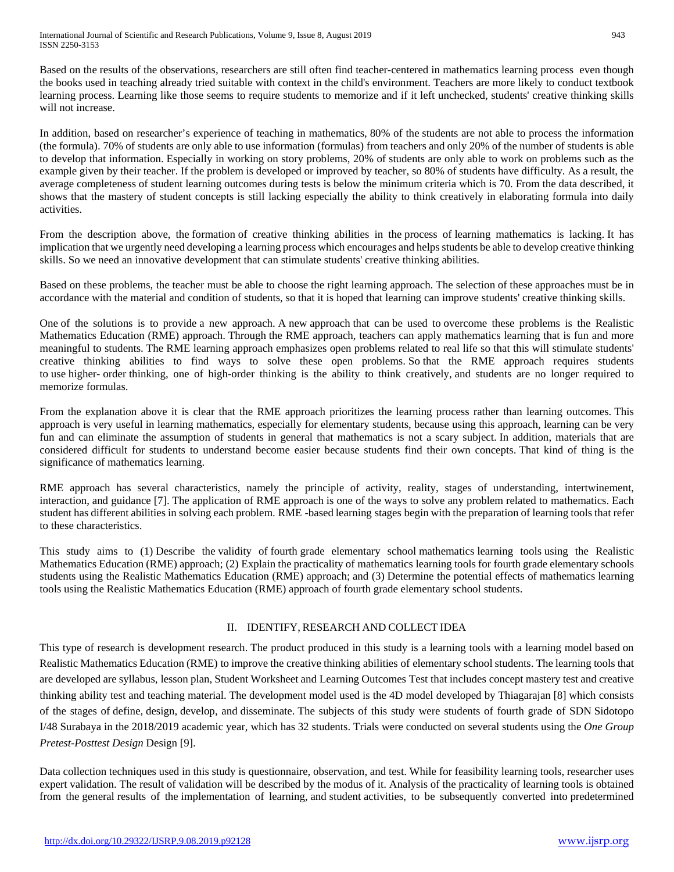Based on the results of the observations, researchers are still often find teacher-centered in mathematics learning process even though the books used in teaching already tried suitable with context in the child's environment. Teachers are more likely to conduct textbook learning process. Learning like those seems to require students to memorize and if it left unchecked, students' creative thinking skills will not increase.

In addition, based on researcher's experience of teaching in mathematics, 80% of the students are not able to process the information (the formula). 70% of students are only able to use information (formulas) from teachers and only 20% of the number of students is able to develop that information. Especially in working on story problems, 20% of students are only able to work on problems such as the example given by their teacher. If the problem is developed or improved by teacher, so 80% of students have difficulty. As a result, the average completeness of student learning outcomes during tests is below the minimum criteria which is 70. From the data described, it shows that the mastery of student concepts is still lacking especially the ability to think creatively in elaborating formula into daily activities.

From the description above, the formation of creative thinking abilities in the process of learning mathematics is lacking. It has implication that we urgently need developing a learning process which encourages and helps students be able to develop creative thinking skills. So we need an innovative development that can stimulate students' creative thinking abilities.

Based on these problems, the teacher must be able to choose the right learning approach. The selection of these approaches must be in accordance with the material and condition of students, so that it is hoped that learning can improve students' creative thinking skills.

One of the solutions is to provide a new approach. A new approach that can be used to overcome these problems is the Realistic Mathematics Education (RME) approach. Through the RME approach, teachers can apply mathematics learning that is fun and more meaningful to students. The RME learning approach emphasizes open problems related to real life so that this will stimulate students' creative thinking abilities to find ways to solve these open problems. So that the RME approach requires students to use higher- order thinking, one of high-order thinking is the ability to think creatively, and students are no longer required to memorize formulas.

From the explanation above it is clear that the RME approach prioritizes the learning process rather than learning outcomes. This approach is very useful in learning mathematics, especially for elementary students, because using this approach, learning can be very fun and can eliminate the assumption of students in general that mathematics is not a scary subject. In addition, materials that are considered difficult for students to understand become easier because students find their own concepts. That kind of thing is the significance of mathematics learning.

RME approach has several characteristics, namely the principle of activity, reality, stages of understanding, intertwinement, interaction, and guidance [7]. The application of RME approach is one of the ways to solve any problem related to mathematics. Each student has different abilities in solving each problem. RME -based learning stages begin with the preparation of learning tools that refer to these characteristics.

This study aims to (1) Describe the validity of fourth grade elementary school mathematics learning tools using the Realistic Mathematics Education (RME) approach; (2) Explain the practicality of mathematics learning tools for fourth grade elementary schools students using the Realistic Mathematics Education (RME) approach; and (3) Determine the potential effects of mathematics learning tools using the Realistic Mathematics Education (RME) approach of fourth grade elementary school students.

# II. IDENTIFY, RESEARCH AND COLLECT IDEA

This type of research is development research. The product produced in this study is a learning tools with a learning model based on Realistic Mathematics Education (RME) to improve the creative thinking abilities of elementary school students. The learning tools that are developed are syllabus, lesson plan, Student Worksheet and Learning Outcomes Test that includes concept mastery test and creative thinking ability test and teaching material. The development model used is the 4D model developed by Thiagarajan [8] which consists of the stages of define, design, develop, and disseminate. The subjects of this study were students of fourth grade of SDN Sidotopo I/48 Surabaya in the 2018/2019 academic year, which has 32 students. Trials were conducted on several students using the *One Group Pretest-Posttest Design* Design [9].

Data collection techniques used in this study is questionnaire, observation, and test. While for feasibility learning tools, researcher uses expert validation. The result of validation will be described by the modus of it. Analysis of the practicality of learning tools is obtained from the general results of the implementation of learning, and student activities, to be subsequently converted into predetermined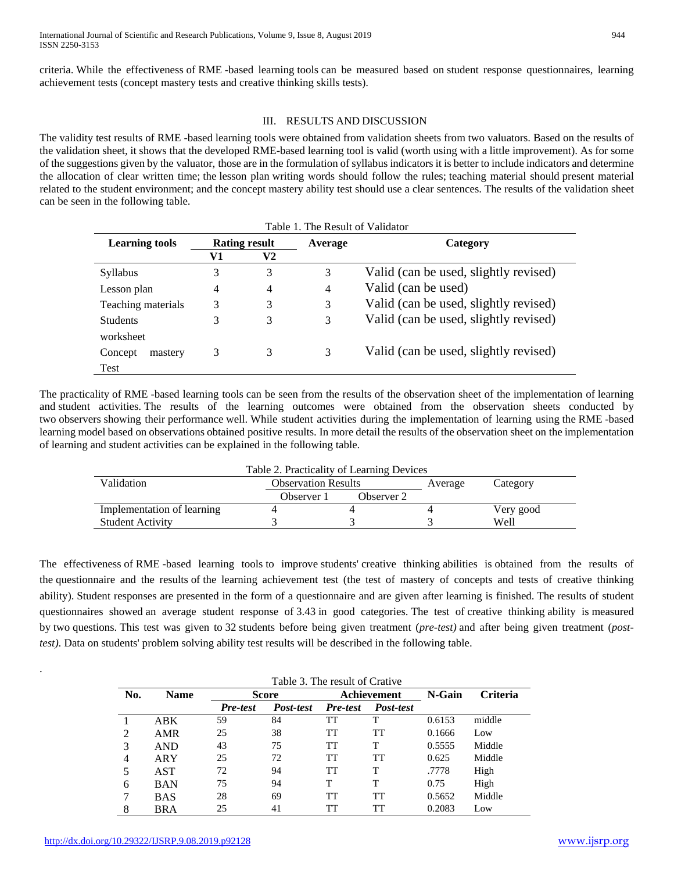criteria. While the effectiveness of RME -based learning tools can be measured based on student response questionnaires, learning achievement tests (concept mastery tests and creative thinking skills tests).

## III. RESULTS AND DISCUSSION

The validity test results of RME -based learning tools were obtained from validation sheets from two valuators. Based on the results of the validation sheet, it shows that the developed RME-based learning tool is valid (worth using with a little improvement). As for some of the suggestions given by the valuator, those are in the formulation of syllabus indicators it is better to include indicators and determine the allocation of clear written time; the lesson plan writing words should follow the rules; teaching material should present material related to the student environment; and the concept mastery ability test should use a clear sentences. The results of the validation sheet can be seen in the following table.

| Table 1. The Result of Validator |                      |    |                |                                       |  |  |  |
|----------------------------------|----------------------|----|----------------|---------------------------------------|--|--|--|
| <b>Learning tools</b>            | <b>Rating result</b> |    | Average        | Category                              |  |  |  |
|                                  | V1                   | V2 |                |                                       |  |  |  |
| <b>Syllabus</b>                  | 3                    | 3  | 3              | Valid (can be used, slightly revised) |  |  |  |
| Lesson plan                      | $\overline{4}$       | 4  | $\overline{4}$ | Valid (can be used)                   |  |  |  |
| Teaching materials               | 3                    | 3  | 3              | Valid (can be used, slightly revised) |  |  |  |
| <b>Students</b>                  | 3                    | 3  | 3              | Valid (can be used, slightly revised) |  |  |  |
| worksheet                        |                      |    |                |                                       |  |  |  |
| Concept<br>mastery               | 3                    | 3  | 3              | Valid (can be used, slightly revised) |  |  |  |
| Test                             |                      |    |                |                                       |  |  |  |

The practicality of RME -based learning tools can be seen from the results of the observation sheet of the implementation of learning and student activities. The results of the learning outcomes were obtained from the observation sheets conducted by two observers showing their performance well. While student activities during the implementation of learning using the RME -based learning model based on observations obtained positive results. In more detail the results of the observation sheet on the implementation of learning and student activities can be explained in the following table.

| Table 2. Practicality of Learning Devices |                            |            |         |           |  |  |
|-------------------------------------------|----------------------------|------------|---------|-----------|--|--|
| Validation                                | <b>Observation Results</b> |            | Average | Category  |  |  |
|                                           | Observer 1                 | Observer 2 |         |           |  |  |
| Implementation of learning                |                            |            |         | Very good |  |  |
| <b>Student Activity</b>                   |                            |            |         | Well      |  |  |

The effectiveness of RME -based learning tools to improve students' creative thinking abilities is obtained from the results of the questionnaire and the results of the learning achievement test (the test of mastery of concepts and tests of creative thinking ability). Student responses are presented in the form of a questionnaire and are given after learning is finished. The results of student questionnaires showed an average student response of 3.43 in good categories. The test of creative thinking ability is measured by two questions. This test was given to 32 students before being given treatment (*pre-test)* and after being given treatment (*posttest)*. Data on students' problem solving ability test results will be described in the following table.

| Table 3. The result of Crative |             |          |           |             |           |        |                 |
|--------------------------------|-------------|----------|-----------|-------------|-----------|--------|-----------------|
| No.                            | <b>Name</b> | Score    |           | Achievement |           | N-Gain | <b>Criteria</b> |
|                                |             | Pre-test | Post-test | Pre-test    | Post-test |        |                 |
|                                | ABK         | 59       | 84        | TT          | Т         | 0.6153 | middle          |
| 2                              | AMR         | 25       | 38        | TT          | TT        | 0.1666 | Low             |
| 3                              | <b>AND</b>  | 43       | 75        | TT          | т         | 0.5555 | Middle          |
| 4                              | <b>ARY</b>  | 25       | 72        | TT          | TT        | 0.625  | Middle          |
| 5                              | AST         | 72       | 94        | TT          | Т         | .7778  | High            |
| 6                              | <b>BAN</b>  | 75       | 94        | T           | T         | 0.75   | High            |
|                                | BAS         | 28       | 69        | TT          | TT        | 0.5652 | Middle          |
| 8                              | BRA         | 25       | 41        | TT          | TT        | 0.2083 | Low             |

.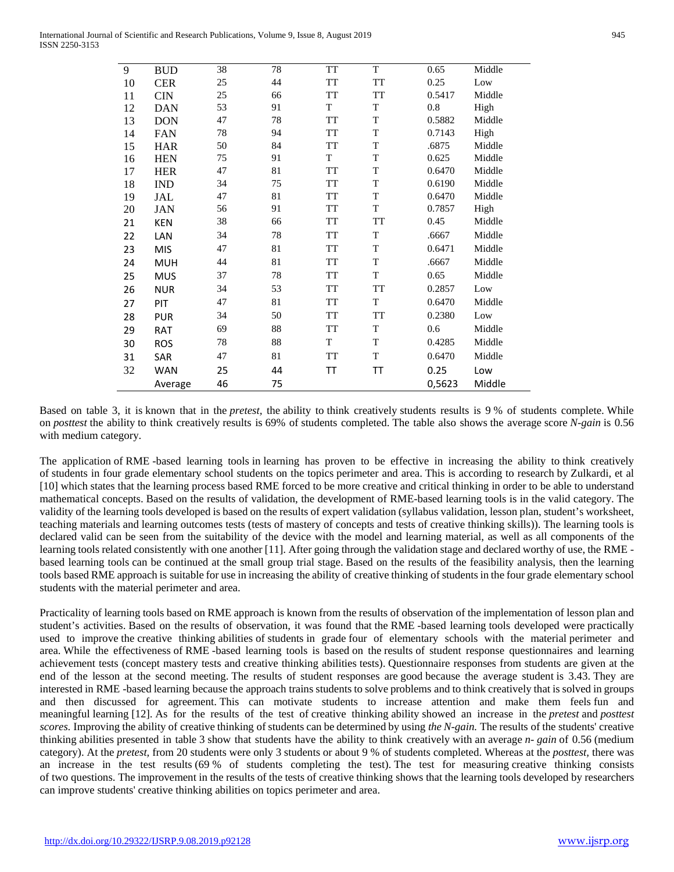| 9  | <b>BUD</b> | 38 | 78 | <b>TT</b> | T  | 0.65   | Middle |
|----|------------|----|----|-----------|----|--------|--------|
| 10 | <b>CER</b> | 25 | 44 | TT        | TT | 0.25   | Low    |
| 11 | <b>CIN</b> | 25 | 66 | <b>TT</b> | TT | 0.5417 | Middle |
| 12 | <b>DAN</b> | 53 | 91 | T         | T  | 0.8    | High   |
| 13 | <b>DON</b> | 47 | 78 | <b>TT</b> | T  | 0.5882 | Middle |
| 14 | <b>FAN</b> | 78 | 94 | <b>TT</b> | T  | 0.7143 | High   |
| 15 | <b>HAR</b> | 50 | 84 | <b>TT</b> | T  | .6875  | Middle |
| 16 | <b>HEN</b> | 75 | 91 | T         | T  | 0.625  | Middle |
| 17 | <b>HER</b> | 47 | 81 | <b>TT</b> | T  | 0.6470 | Middle |
| 18 | <b>IND</b> | 34 | 75 | <b>TT</b> | T  | 0.6190 | Middle |
| 19 | JAL        | 47 | 81 | <b>TT</b> | T  | 0.6470 | Middle |
| 20 | <b>JAN</b> | 56 | 91 | <b>TT</b> | T  | 0.7857 | High   |
| 21 | <b>KEN</b> | 38 | 66 | <b>TT</b> | TT | 0.45   | Middle |
| 22 | LAN        | 34 | 78 | <b>TT</b> | T  | .6667  | Middle |
| 23 | <b>MIS</b> | 47 | 81 | <b>TT</b> | T  | 0.6471 | Middle |
| 24 | <b>MUH</b> | 44 | 81 | <b>TT</b> | T  | .6667  | Middle |
| 25 | <b>MUS</b> | 37 | 78 | <b>TT</b> | T  | 0.65   | Middle |
| 26 | <b>NUR</b> | 34 | 53 | <b>TT</b> | TT | 0.2857 | Low    |
| 27 | PIT        | 47 | 81 | TT        | T  | 0.6470 | Middle |
| 28 | <b>PUR</b> | 34 | 50 | <b>TT</b> | TT | 0.2380 | Low    |
| 29 | RAT        | 69 | 88 | <b>TT</b> | T  | 0.6    | Middle |
| 30 | <b>ROS</b> | 78 | 88 | T         | T  | 0.4285 | Middle |
| 31 | SAR        | 47 | 81 | <b>TT</b> | T  | 0.6470 | Middle |
| 32 | <b>WAN</b> | 25 | 44 | TΤ        | TΤ | 0.25   | Low    |
|    | Average    | 46 | 75 |           |    | 0,5623 | Middle |

Based on table 3, it is known that in the *pretest,* the ability to think creatively students results is 9 % of students complete. While on *posttest* the ability to think creatively results is 69% of students completed. The table also shows the average score *N-gain* is 0.56 with medium category.

The application of RME -based learning tools in learning has proven to be effective in increasing the ability to think creatively of students in four grade elementary school students on the topics perimeter and area. This is according to research by Zulkardi, et al [10] which states that the learning process based RME forced to be more creative and critical thinking in order to be able to understand mathematical concepts. Based on the results of validation, the development of RME-based learning tools is in the valid category. The validity of the learning tools developed is based on the results of expert validation (syllabus validation, lesson plan, student's worksheet, teaching materials and learning outcomes tests (tests of mastery of concepts and tests of creative thinking skills)). The learning tools is declared valid can be seen from the suitability of the device with the model and learning material, as well as all components of the learning tools related consistently with one another [11]. After going through the validation stage and declared worthy of use, the RME based learning tools can be continued at the small group trial stage. Based on the results of the feasibility analysis, then the learning tools based RME approach is suitable for use in increasing the ability of creative thinking of students in the four grade elementary school students with the material perimeter and area.

Practicality of learning tools based on RME approach is known from the results of observation of the implementation of lesson plan and student's activities. Based on the results of observation, it was found that the RME -based learning tools developed were practically used to improve the creative thinking abilities of students in grade four of elementary schools with the material perimeter and area. While the effectiveness of RME -based learning tools is based on the results of student response questionnaires and learning achievement tests (concept mastery tests and creative thinking abilities tests). Questionnaire responses from students are given at the end of the lesson at the second meeting. The results of student responses are good because the average student is 3.43. They are interested in RME -based learning because the approach trains students to solve problems and to think creatively that is solved in groups and then discussed for agreement. This can motivate students to increase attention and make them feels fun and meaningful learning [12]. As for the results of the test of creative thinking ability showed an increase in the *pretest* and *posttest scores.* Improving the ability of creative thinking of students can be determined by using *the N-gain.* The results of the students' creative thinking abilities presented in table 3 show that students have the ability to think creatively with an average *n- gain* of 0.56 (medium category). At the *pretest,* from 20 students were only 3 students or about 9 % of students completed. Whereas at the *posttest,* there was an increase in the test results (69 % of students completing the test). The test for measuring creative thinking consists of two questions. The improvement in the results of the tests of creative thinking shows that the learning tools developed by researchers can improve students' creative thinking abilities on topics perimeter and area.